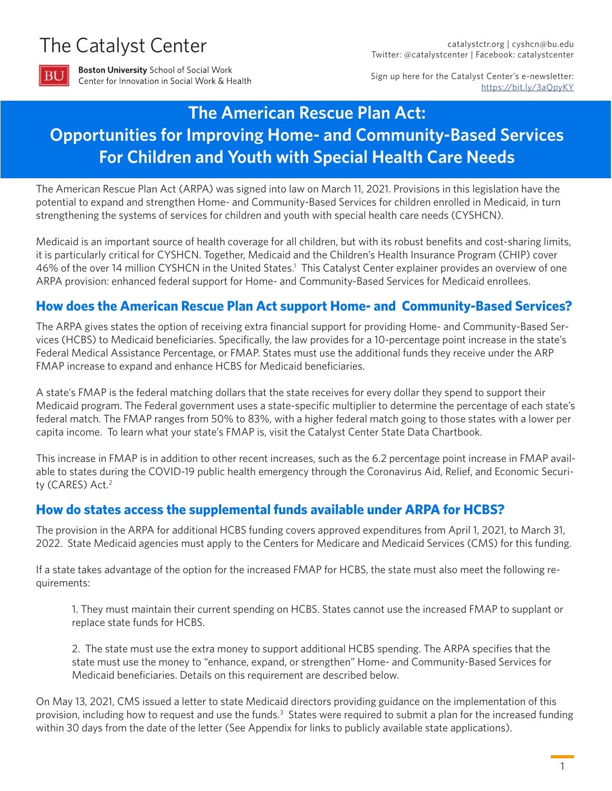# <span id="page-0-0"></span>The Catalyst Center



**Boston University School of Social Work** Center for Innovation in Social Work & Health

Sign up here for the Catalyst Center's e-newsletter: [https://bit.ly/3aQpyKY](https://bit.ly/3aQpyKY      )

## **The American Rescue Plan Act: Opportunities for Improving Home- and Community-Based Services For Children and Youth with Special Health Care Needs**

The American Rescue Plan Act (ARPA) was signed into law on March 11, 2021. Provisions in this legislation have the potential to expand and strengthen Home- and Community-Based Services for children enrolled in Medicaid, in turn strengthening the systems of services for children and youth with special health care needs (CYSHCN).

Medicaid is an important source of health coverage for all children, but with its robust benefits and cost-sharing limits, it is particularly critical for CYSHCN. Together, Medicaid and the Children's Health Insurance Program (CHIP) cover 46% of the over 14 million CYSHCN in the United States.<sup>1</sup> This Catalyst Center explainer provides an overview of one ARPA provision: enhanced federal support for Home- and Community-Based Services for Medicaid enrollees.

## **How does the American Rescue Plan Act support Home- and Community-Based Services?**

The ARPA gives states the option of receiving extra financial support for providing Home- and Community-Based Services (HCBS) to Medicaid beneficiaries. Specifically, the law provides for a 10-percentage point increase in the state's Federal Medical Assistance Percentage, or FMAP. States must use the additional funds they receive under the ARP FMAP increase to expand and enhance HCBS for Medicaid beneficiaries.

A state's FMAP is the federal matching dollars that the state receives for every dollar they spend to support their Medicaid program. The Federal government uses a state-specific multiplier to determine the percentage of each state's federal match. The FMAP ranges from 50% to 83%, with a higher federal match going to those states with a lower per capita income. To learn what your state's FMAP is, visit the Catalyst Center State Data Chartbook.

This increase in FMAP is in addition to other recent increases, such as the 6.2 percentage point increase in FMAP available to states during the COVID-19 public health emergency through the Coronavirus Aid, Relief, and Economic Securi-ty (CARES) Act.<sup>[2](#page-5-0)</sup>

#### **How do states access the supplemental funds available under ARPA for HCBS?**

The provision in the ARPA for additional HCBS funding covers approved expenditures from April 1, 2021, to March 31, 2022. State Medicaid agencies must apply to the Centers for Medicare and Medicaid Services (CMS) for this funding.

If a state takes advantage of the option for the increased FMAP for HCBS, the state must also meet the following requirements:

1. They must maintain their current spending on HCBS. States cannot use the increased FMAP to supplant or replace state funds for HCBS.

2. The state must use the extra money to support additional HCBS spending. The ARPA specifies that the state must use the money to "enhance, expand, or strengthen" Home- and Community-Based Services for Medicaid beneficiaries. Details on this requirement are described below.

On May 13, 2021, CMS issued a letter to state Medicaid directors providing guidance on the implementation of this provision, including how to request and use the funds.<sup>3</sup> States were required to submit a plan for the increased funding within 30 days from the date of the letter (See Appendix for links to publicly available state applications).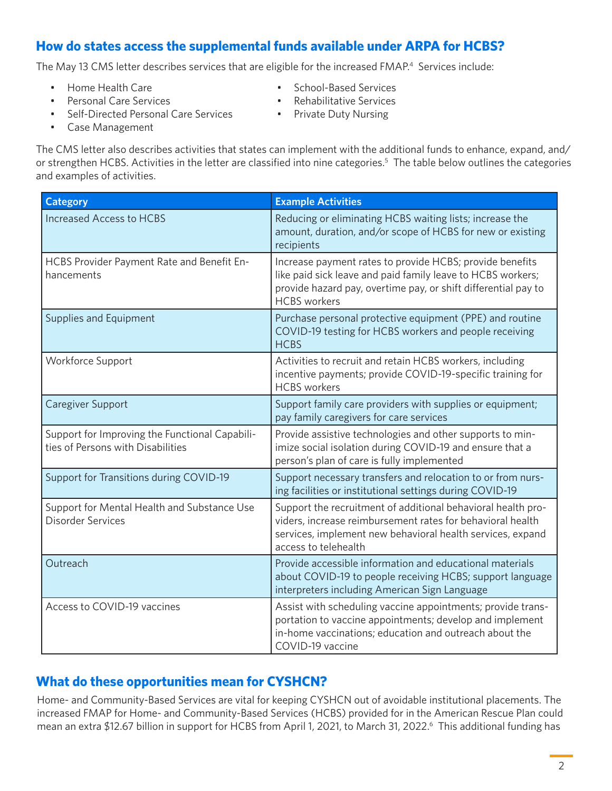## <span id="page-1-0"></span>**How do states access the supplemental funds available under ARPA for HCBS?**

The May 13 CMS letter describes services that are eligible for the increased FMAP.<sup>4</sup> Services include:

- Home Health Care
- Personal Care Services
- Self-Directed Personal Care Services
- School-Based Services
- Rehabilitative Services
- Private Duty Nursing

• Case Management

The CMS letter also describes activities that states can implement with the additional funds to enhance, expand, and/ or strengthen HCBS. Activities in the letter are classified into nine categories.<sup>5</sup> The table below outlines the categories and examples of activities.

| <b>Category</b>                                                                     | <b>Example Activities</b>                                                                                                                                                                                        |
|-------------------------------------------------------------------------------------|------------------------------------------------------------------------------------------------------------------------------------------------------------------------------------------------------------------|
| <b>Increased Access to HCBS</b>                                                     | Reducing or eliminating HCBS waiting lists; increase the<br>amount, duration, and/or scope of HCBS for new or existing<br>recipients                                                                             |
| HCBS Provider Payment Rate and Benefit En-<br>hancements                            | Increase payment rates to provide HCBS; provide benefits<br>like paid sick leave and paid family leave to HCBS workers;<br>provide hazard pay, overtime pay, or shift differential pay to<br><b>HCBS</b> workers |
| Supplies and Equipment                                                              | Purchase personal protective equipment (PPE) and routine<br>COVID-19 testing for HCBS workers and people receiving<br><b>HCBS</b>                                                                                |
| Workforce Support                                                                   | Activities to recruit and retain HCBS workers, including<br>incentive payments; provide COVID-19-specific training for<br><b>HCBS</b> workers                                                                    |
| Caregiver Support                                                                   | Support family care providers with supplies or equipment;<br>pay family caregivers for care services                                                                                                             |
| Support for Improving the Functional Capabili-<br>ties of Persons with Disabilities | Provide assistive technologies and other supports to min-<br>imize social isolation during COVID-19 and ensure that a<br>person's plan of care is fully implemented                                              |
| Support for Transitions during COVID-19                                             | Support necessary transfers and relocation to or from nurs-<br>ing facilities or institutional settings during COVID-19                                                                                          |
| Support for Mental Health and Substance Use<br><b>Disorder Services</b>             | Support the recruitment of additional behavioral health pro-<br>viders, increase reimbursement rates for behavioral health<br>services, implement new behavioral health services, expand<br>access to telehealth |
| Outreach                                                                            | Provide accessible information and educational materials<br>about COVID-19 to people receiving HCBS; support language<br>interpreters including American Sign Language                                           |
| Access to COVID-19 vaccines                                                         | Assist with scheduling vaccine appointments; provide trans-<br>portation to vaccine appointments; develop and implement<br>in-home vaccinations; education and outreach about the<br>COVID-19 vaccine            |

#### **What do these opportunities mean for CYSHCN?**

Home- and Community-Based Services are vital for keeping CYSHCN out of avoidable institutional placements. The increased FMAP for Home- and Community-Based Services (HCBS) provided for in the American Rescue Plan could mean an extra \$12.[6](#page-5-0)7 billion in support for HCBS from April 1, 2021, to March 31, 2022.<sup>6</sup> This additional funding has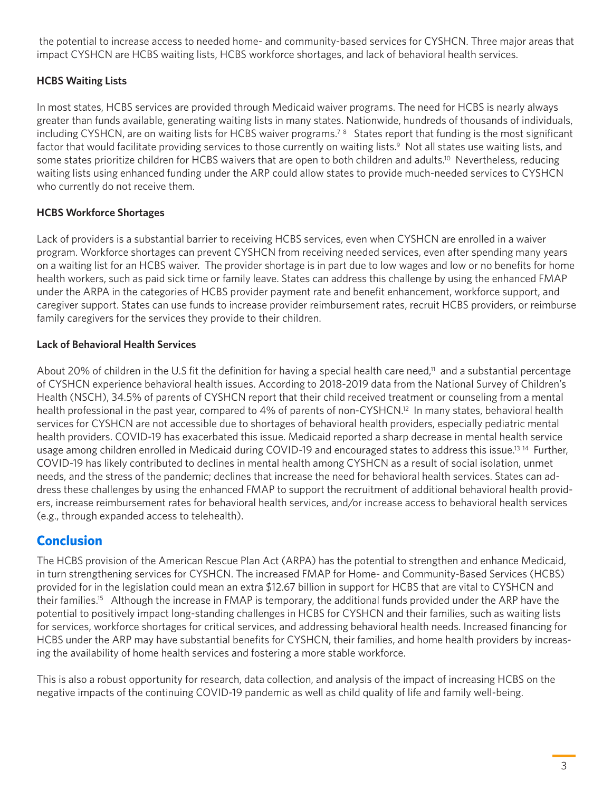<span id="page-2-0"></span> the potential to increase access to needed home- and community-based services for CYSHCN. Three major areas that impact CYSHCN are HCBS waiting lists, HCBS workforce shortages, and lack of behavioral health services.

#### **HCBS Waiting Lists**

In most states, HCBS services are provided through Medicaid waiver programs. The need for HCBS is nearly always greater than funds available, generating waiting lists in many states. Nationwide, hundreds of thousands of individuals, including CYSHCN, are on waiting lists for HCBS waiver programs.<sup>7[8](#page-5-0)</sup> States report that funding is the most significant factor that would facilitate providing services to those currently on waiting lists.<sup>9</sup> Not all states use waiting lists, and some states prioritize children for HCBS waivers that are open to both children and adults.<sup>10</sup> Nevertheless, reducing waiting lists using enhanced funding under the ARP could allow states to provide much-needed services to CYSHCN who currently do not receive them.

#### **HCBS Workforce Shortages**

Lack of providers is a substantial barrier to receiving HCBS services, even when CYSHCN are enrolled in a waiver program. Workforce shortages can prevent CYSHCN from receiving needed services, even after spending many years on a waiting list for an HCBS waiver. The provider shortage is in part due to low wages and low or no benefits for home health workers, such as paid sick time or family leave. States can address this challenge by using the enhanced FMAP under the ARPA in the categories of HCBS provider payment rate and benefit enhancement, workforce support, and caregiver support. States can use funds to increase provider reimbursement rates, recruit HCBS providers, or reimburse family caregivers for the services they provide to their children.

#### **Lack of Behavioral Health Services**

About 20% of children in the U.S fit the definition for having a special health care need,<sup>11</sup> and a substantial percentage of CYSHCN experience behavioral health issues. According to 2018-2019 data from the National Survey of Children's Health (NSCH), 34.5% of parents of CYSHCN report that their child received treatment or counseling from a mental health professional in the past year, compared to 4% of parents of non-CYSHCN.<sup>12</sup> In many states, behavioral health services for CYSHCN are not accessible due to shortages of behavioral health providers, especially pediatric mental health providers. COVID-19 has exacerbated this issue. Medicaid reported a sharp decrease in mental health service usage among children enrolled in Medicaid during COVID-19 and encouraged states to address this issue.<sup>13 14</sup> Further, COVID-19 has likely contributed to declines in mental health among CYSHCN as a result of social isolation, unmet needs, and the stress of the pandemic; declines that increase the need for behavioral health services. States can address these challenges by using the enhanced FMAP to support the recruitment of additional behavioral health providers, increase reimbursement rates for behavioral health services, and/or increase access to behavioral health services (e.g., through expanded access to telehealth).

## **Conclusion**

The HCBS provision of the American Rescue Plan Act (ARPA) has the potential to strengthen and enhance Medicaid, in turn strengthening services for CYSHCN. The increased FMAP for Home- and Community-Based Services (HCBS) provided for in the legislation could mean an extra \$12.67 billion in support for HCBS that are vital to CYSHCN and their families.<sup>15</sup> Although the increase in FMAP is temporary, the additional funds provided under the ARP have the potential to positively impact long-standing challenges in HCBS for CYSHCN and their families, such as waiting lists for services, workforce shortages for critical services, and addressing behavioral health needs. Increased financing for HCBS under the ARP may have substantial benefits for CYSHCN, their families, and home health providers by increasing the availability of home health services and fostering a more stable workforce.

This is also a robust opportunity for research, data collection, and analysis of the impact of increasing HCBS on the negative impacts of the continuing COVID-19 pandemic as well as child quality of life and family well-being.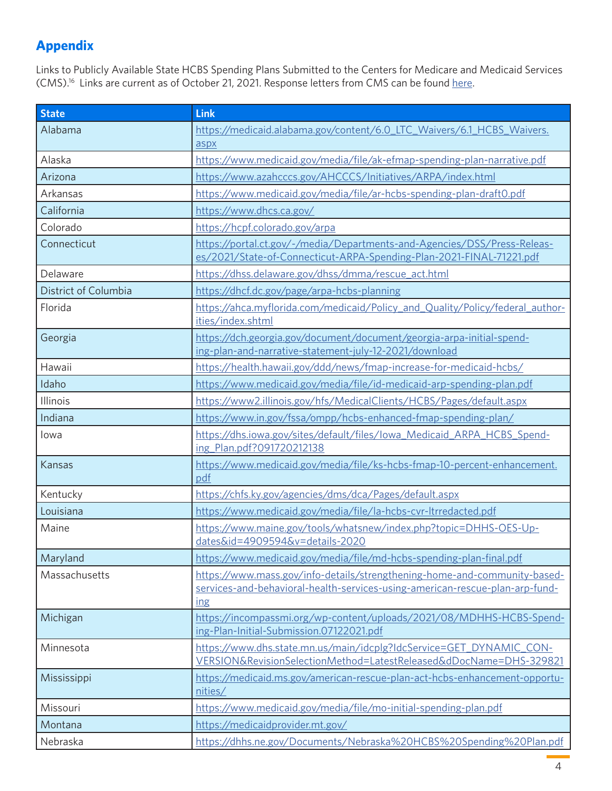## <span id="page-3-0"></span>**Appendix**

Links to Publicly Available State HCBS Spending Plans Submitted to the Centers for Medicare and Medicaid Services (CMS)[.16](#page-5-0) Links are current as of October 21, 2021. Response letters from CMS can be found [here.](https://www.medicaid.gov/medicaid/home-community-based-services/guidance/strengthening-and-investing-home-and-community-based-services-for-medicaid-beneficiaries-american-rescue-plan-act-of-2021-section-9817-spending-plans-and-narratives/index.html)

| <b>State</b>         | Link                                                                                                                                                             |
|----------------------|------------------------------------------------------------------------------------------------------------------------------------------------------------------|
| Alabama              | https://medicaid.alabama.gov/content/6.0 LTC Waivers/6.1 HCBS Waivers.<br>aspx                                                                                   |
| Alaska               | https://www.medicaid.gov/media/file/ak-efmap-spending-plan-narrative.pdf                                                                                         |
| Arizona              | https://www.azahcccs.gov/AHCCCS/Initiatives/ARPA/index.html                                                                                                      |
| Arkansas             | https://www.medicaid.gov/media/file/ar-hcbs-spending-plan-draft0.pdf                                                                                             |
| California           | https://www.dhcs.ca.gov/                                                                                                                                         |
| Colorado             | https://hcpf.colorado.gov/arpa                                                                                                                                   |
| Connecticut          | https://portal.ct.gov/-/media/Departments-and-Agencies/DSS/Press-Releas-<br>es/2021/State-of-Connecticut-ARPA-Spending-Plan-2021-FINAL-71221.pdf                 |
| Delaware             | https://dhss.delaware.gov/dhss/dmma/rescue_act.html                                                                                                              |
| District of Columbia | https://dhcf.dc.gov/page/arpa-hcbs-planning                                                                                                                      |
| Florida              | https://ahca.myflorida.com/medicaid/Policy_and_Quality/Policy/federal_author-<br>ities/index.shtml                                                               |
| Georgia              | https://dch.georgia.gov/document/document/georgia-arpa-initial-spend-<br>ing-plan-and-narrative-statement-july-12-2021/download                                  |
| Hawaii               | https://health.hawaii.gov/ddd/news/fmap-increase-for-medicaid-hcbs/                                                                                              |
| Idaho                | https://www.medicaid.gov/media/file/id-medicaid-arp-spending-plan.pdf                                                                                            |
| Illinois             | https://www2.illinois.gov/hfs/MedicalClients/HCBS/Pages/default.aspx                                                                                             |
| Indiana              | https://www.in.gov/fssa/ompp/hcbs-enhanced-fmap-spending-plan/                                                                                                   |
| lowa                 | https://dhs.iowa.gov/sites/default/files/lowa_Medicaid_ARPA_HCBS_Spend-<br>ing_Plan.pdf?091720212138                                                             |
| Kansas               | https://www.medicaid.gov/media/file/ks-hcbs-fmap-10-percent-enhancement.<br>pdf                                                                                  |
| Kentucky             | https://chfs.ky.gov/agencies/dms/dca/Pages/default.aspx                                                                                                          |
| Louisiana            | https://www.medicaid.gov/media/file/la-hcbs-cvr-ltrredacted.pdf                                                                                                  |
| Maine                | https://www.maine.gov/tools/whatsnew/index.php?topic=DHHS-OES-Up-<br>dates&id=4909594&v=details-2020                                                             |
| Maryland             | https://www.medicaid.gov/media/file/md-hcbs-spending-plan-final.pdf                                                                                              |
| Massachusetts        | https://www.mass.gov/info-details/strengthening-home-and-community-based-<br>services-and-behavioral-health-services-using-american-rescue-plan-arp-fund-<br>ing |
| Michigan             | https://incompassmi.org/wp-content/uploads/2021/08/MDHHS-HCBS-Spend-<br>ing-Plan-Initial-Submission.07122021.pdf                                                 |
| Minnesota            | https://www.dhs.state.mn.us/main/idcplg?IdcService=GET_DYNAMIC_CON-<br>VERSION&RevisionSelectionMethod=LatestReleased&dDocName=DHS-329821                        |
| Mississippi          | https://medicaid.ms.gov/american-rescue-plan-act-hcbs-enhancement-opportu-<br>nities/                                                                            |
| Missouri             | https://www.medicaid.gov/media/file/mo-initial-spending-plan.pdf                                                                                                 |
| Montana              | https://medicaidprovider.mt.gov/                                                                                                                                 |
| Nebraska             | https://dhhs.ne.gov/Documents/Nebraska%20HCBS%20Spending%20Plan.pdf                                                                                              |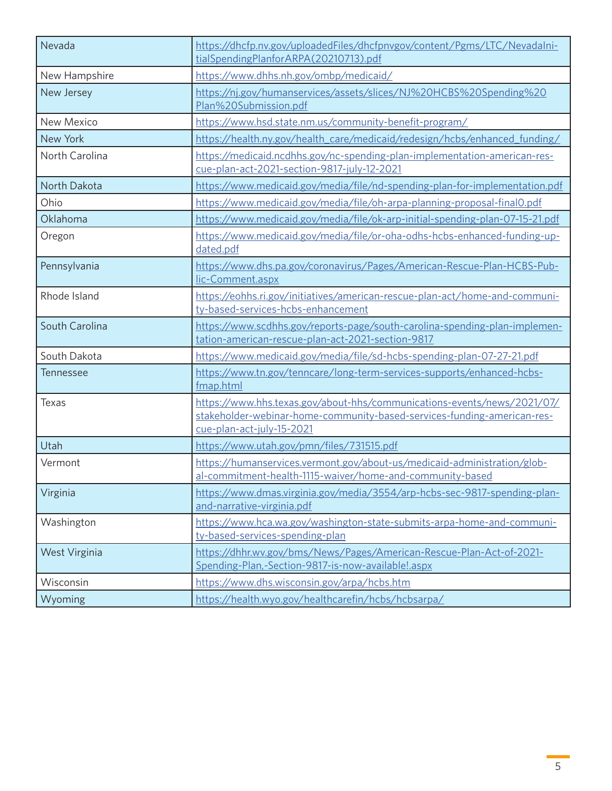| Nevada         | https://dhcfp.nv.gov/uploadedFiles/dhcfpnvgov/content/Pgms/LTC/NevadaIni-<br>tialSpendingPlanforARPA(20210713).pdf                                                              |
|----------------|---------------------------------------------------------------------------------------------------------------------------------------------------------------------------------|
| New Hampshire  | https://www.dhhs.nh.gov/ombp/medicaid/                                                                                                                                          |
| New Jersey     | https://nj.gov/humanservices/assets/slices/NJ%20HCBS%20Spending%20<br>Plan%20Submission.pdf                                                                                     |
| New Mexico     | https://www.hsd.state.nm.us/community-benefit-program/                                                                                                                          |
| New York       | https://health.ny.gov/health_care/medicaid/redesign/hcbs/enhanced_funding/                                                                                                      |
| North Carolina | https://medicaid.ncdhhs.gov/nc-spending-plan-implementation-american-res-<br>cue-plan-act-2021-section-9817-july-12-2021                                                        |
| North Dakota   | https://www.medicaid.gov/media/file/nd-spending-plan-for-implementation.pdf                                                                                                     |
| Ohio           | https://www.medicaid.gov/media/file/oh-arpa-planning-proposal-final0.pdf                                                                                                        |
| Oklahoma       | https://www.medicaid.gov/media/file/ok-arp-initial-spending-plan-07-15-21.pdf                                                                                                   |
| Oregon         | https://www.medicaid.gov/media/file/or-oha-odhs-hcbs-enhanced-funding-up-<br>dated.pdf                                                                                          |
| Pennsylvania   | https://www.dhs.pa.gov/coronavirus/Pages/American-Rescue-Plan-HCBS-Pub-<br>lic-Comment.aspx                                                                                     |
| Rhode Island   | https://eohhs.ri.gov/initiatives/american-rescue-plan-act/home-and-communi-<br>ty-based-services-hcbs-enhancement                                                               |
| South Carolina | https://www.scdhhs.gov/reports-page/south-carolina-spending-plan-implemen-<br>tation-american-rescue-plan-act-2021-section-9817                                                 |
| South Dakota   | https://www.medicaid.gov/media/file/sd-hcbs-spending-plan-07-27-21.pdf                                                                                                          |
| Tennessee      | https://www.tn.gov/tenncare/long-term-services-supports/enhanced-hcbs-<br>fmap.html                                                                                             |
| Texas          | https://www.hhs.texas.gov/about-hhs/communications-events/news/2021/07/<br>stakeholder-webinar-home-community-based-services-funding-american-res-<br>cue-plan-act-july-15-2021 |
| Utah           | https://www.utah.gov/pmn/files/731515.pdf                                                                                                                                       |
| Vermont        | https://humanservices.vermont.gov/about-us/medicaid-administration/glob-<br>al-commitment-health-1115-waiver/home-and-community-based                                           |
| Virginia       | https://www.dmas.virginia.gov/media/3554/arp-hcbs-sec-9817-spending-plan-<br>and-narrative-virginia.pdf                                                                         |
| Washington     | https://www.hca.wa.gov/washington-state-submits-arpa-home-and-communi-<br>ty-based-services-spending-plan                                                                       |
| West Virginia  | https://dhhr.wv.gov/bms/News/Pages/American-Rescue-Plan-Act-of-2021-<br>Spending-Plan,-Section-9817-is-now-available !.aspx                                                     |
| Wisconsin      | https://www.dhs.wisconsin.gov/arpa/hcbs.htm                                                                                                                                     |
| Wyoming        | https://health.wyo.gov/healthcarefin/hcbs/hcbsarpa/                                                                                                                             |